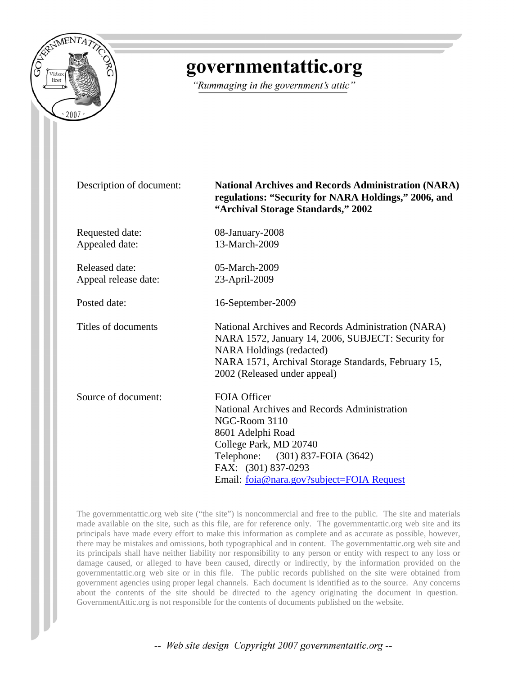

# governmentattic.org

"Rummaging in the government's attic"

Description of document: **National Archives and Records Administration (NARA) regulations: "Security for NARA Holdings," 2006, and "Archival Storage Standards," 2002**

Requested date: 08-January-2008 Appealed date: 13-March-2009

Released date: 05-March-2009 Appeal release date: 23-April-2009

Posted date: 16-September-2009

Titles of documents National Archives and Records Administration (NARA) NARA 1572, January 14, 2006, SUBJECT: Security for NARA Holdings (redacted) NARA 1571, Archival Storage Standards, February 15, 2002 (Released under appeal)

| Source of document: | <b>FOIA Officer</b>                          |
|---------------------|----------------------------------------------|
|                     | National Archives and Records Administration |
|                     | NGC-Room 3110                                |
|                     | 8601 Adelphi Road                            |
|                     | College Park, MD 20740                       |
|                     | Telephone: (301) 837-FOIA (3642)             |
|                     | FAX: (301) 837-0293                          |
|                     | Email: foia@nara.gov?subject=FOIA Request    |

The governmentattic.org web site ("the site") is noncommercial and free to the public. The site and materials made available on the site, such as this file, are for reference only. The governmentattic.org web site and its principals have made every effort to make this information as complete and as accurate as possible, however, there may be mistakes and omissions, both typographical and in content. The governmentattic.org web site and its principals shall have neither liability nor responsibility to any person or entity with respect to any loss or damage caused, or alleged to have been caused, directly or indirectly, by the information provided on the governmentattic.org web site or in this file. The public records published on the site were obtained from government agencies using proper legal channels. Each document is identified as to the source. Any concerns about the contents of the site should be directed to the agency originating the document in question. GovernmentAttic.org is not responsible for the contents of documents published on the website.

-- Web site design Copyright 2007 governmentattic.org --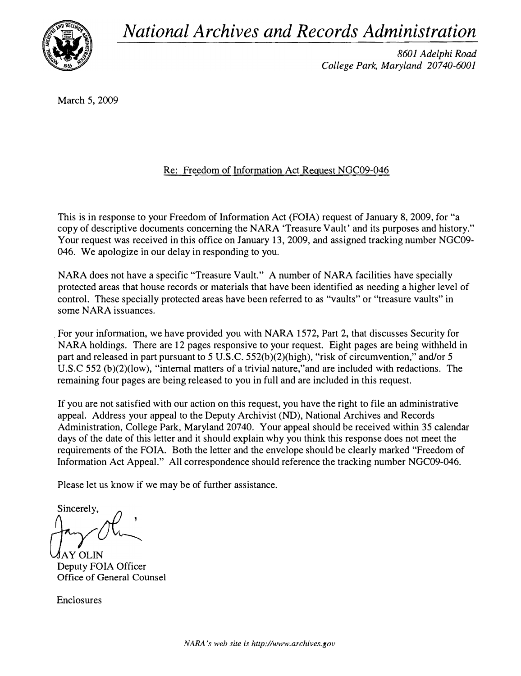National Archives and Records Administration



8601 Adelphi Road College Park, Maryland 20740-6001

March 5, 2009

### Re: Freedom of Information Act Request NGC09-046

This is in response to your Freedom of Information Act (FOIA) request of January 8, 2009, for "a copy of descriptive documents concerning the NARA 'Treasure Vault' and its purposes and history." Your request was received in this office on January 13, 2009, and assigned tracking number NGC09-046. We apologize in our delay in responding to you.

NARA does not have a specific "Treasure Vault." A number of NARA facilities have specially protected areas that house records or materials that have been identified as needing a higher level of control. These specially protected areas have been referred to as "vaults" or "treasure vaults" in some NARA issuances.

. For your information, we have provided you with NARA 1572, Part 2, that discusses Security for NARA holdings. There are 12 pages responsive to your request. Eight pages are being withheld in part and released in part pursuant to 5 U.S.C. 552(b)(2)(high), "risk of circumvention," and/or 5 U.S.C 552 (b)(2)(low), "internal matters of a trivial nature,"and are included with redactions. The remaining four pages are being released to you in full and are included in this request.

If you are not satisfied with our action on this request, you have the right to file an administrative appeal. Address your appeal to the Deputy Archivist (ND), National Archives and Records Administration, College Park, Maryland 20740. Your appeal should be received within 35 calendar days of the date of this letter and it should explain why you think this response does not meet the requirements of the FOIA. Both the letter and the envelope should be clearly marked "Freedom of Information Act Appeal." All correspondence should reference the tracking number NGC09-046.

Please let us know if we may be of further assistance.

Sincerely,  $\theta$ ,

**AY OLIN** Deputy FOIA Officer Office of General Counsel

Enclosures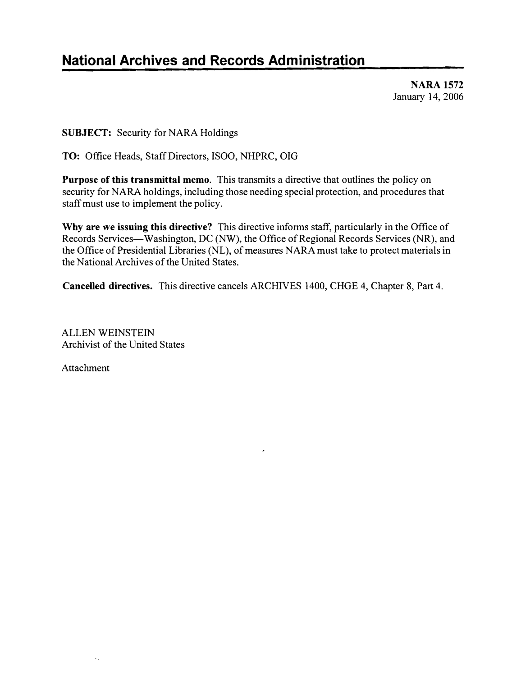## National Archives and Records Administration

NARA 1572 January 14, 2006

SUBJECT: Security for NARA Holdings

TO: Office Heads, Staff Directors, ISOO, NHPRC, OIO

Purpose of this transmittal memo. This transmits a directive that outlines the policy on security for NARA holdings, including those needing special protection, and procedures that staff must use to implement the policy.

Why are we issuing this directive? This directive informs staff, particularly in the Office of Records Services—Washington, DC (NW), the Office of Regional Records Services (NR), and the Office of Presidential Libraries (NL), of measures NARA must take to protect materials in the National Archives of the United States.

Cancelled directives. This directive cancels ARCHIVES 1400, CHOE 4, Chapter 8, Part 4.

ALLEN WEINSTEIN Archivist of the United States

Attachment

 $\mathbf{v}_{\mathrm{in}}$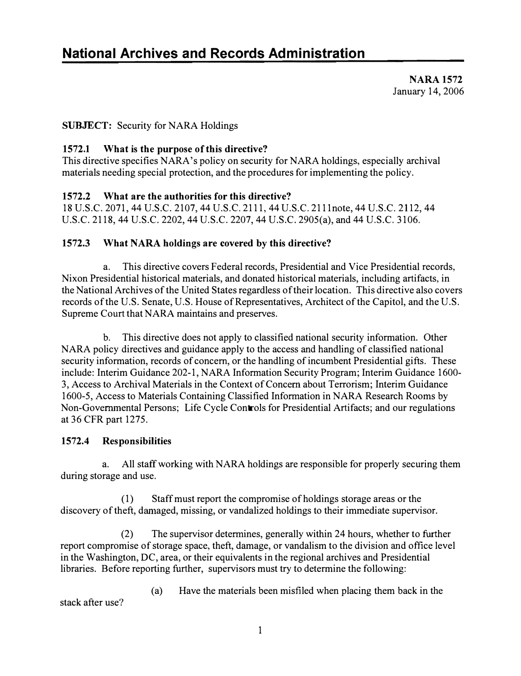NARA 1572 January 14,2006

### SUBJECT: Security for NARA Holdings

### 1572.1 What is the purpose of this directive?

This directive specifies NARA's policy on security for NARA holdings, especially archival materials needing special protection, and the procedures for implementing the policy.

### 1572.2 What are the authorities for this directive?

18 U.S.C. 2071, 44 U.S.C. 2107,44 U.S.c. 2111,44 U.S.C. 2111note, 44 U.S.C. 2112,44 U.S.C. 2118, 44 U.S.C. 2202, 44 U.S.C. 2207,44 U.S.C. 2905(a), and 44 U.S.C. 3106.

### 1572.3 What NARA holdings are covered by this directive?

a. This directive covers Federal records, Presidential and Vice Presidential records, Nixon Presidential historical materials, and donated historical materials, including artifacts, in the National Archives of the United States regardless of their location. This directive also covers records of the U.S. Senate, U.S. House of Representatives, Architect of the Capitol, and the U.S. Supreme Court that NARA maintains and preserves.

b. This directive does not apply to classified national security information. Other NARA policy directives and guidance apply to the access and handling of classified national security information, records of concern, or the handling of incumbent Presidential gifts. These include: Interim Guidance 202-1, NARA Information Security Program; Interim Guidance 1600- 3, Access to Archival Materials in the Context of Concern about Terrorism; Interim Guidance 1600-5, Access to Materials Containing Classified Information in NARA Research Rooms by Non-Governmental Persons; Life Cycle Controls for Presidential Artifacts; and our regulations at 36 CFR part 1275.

### 1572.4 Responsibilities

a. All staff working with NARA holdings are responsible for properly securing them during storage and use.

(1) Staff must report the compromise of holdings storage areas or the discovery of theft, damaged, missing, or vandalized holdings to their immediate supervisor.

(2) The supervisor determines, generally within 24 hours, whether to further report compromise of storage space, theft, damage, or vandalism to the division and office level in the Washington, DC, area, or their equivalents in the regional archives and Presidential libraries. Before reporting further, supervisors must try to determine the following:

stack after use?

(a) Have the materials been misfiled when placing them back in the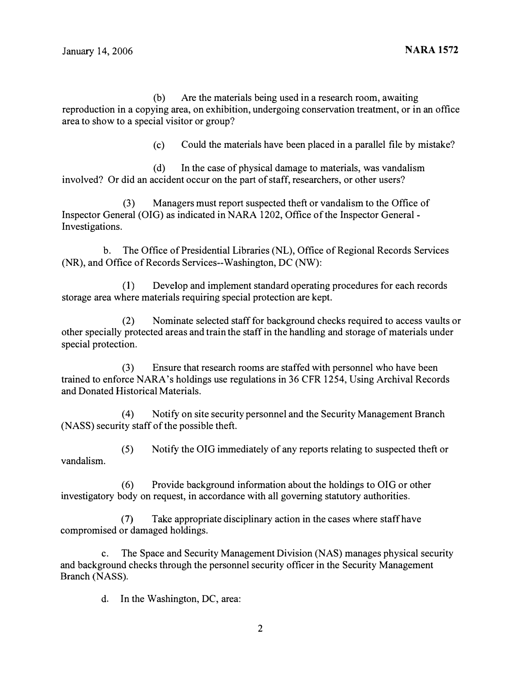(b) Are the materials being used in a research room, awaiting reproduction in a copying area, on exhibition, undergoing conservation treatment, or in an office area to show to a special visitor or group?

(c) Could the materials have been placed in a parallel file by mistake?

(d) In the case of physical damage to materials, was vandalism involved? Or did an accident occur on the part of staff, researchers, or other users?

(3) Managers must report suspected theft or vandalism to the Office of Inspector General (OIG) as indicated in NARA 1202, Office of the Inspector General-Investigations.

b. The Office of Presidential Libraries (NL), Office of Regional Records Services (NR), and Office of Records Services--Washington, DC (NW):

(I) Develop and implement standard operating procedures for each records storage area where materials requiring special protection are kept.

(2) Nominate selected staff for background checks required to access vaults or other specially protected areas and train the staff in the handling and storage of materials under special protection.

(3) Ensure that research rooms are staffed with personnel who have been trained to enforce NARA's holdings use regulations in 36 CFR 1254, Using Archival Records and Donated Historical Materials.

(4) Notify on site security personnel and the Security Management Branch (NASS) security staff of the possible theft.

vandalism. (5) Notify the OIG immediately of any reports relating to suspected theft or

(6) Provide background information about the holdings to OIG or other investigatory body on request, in accordance with all governing statutory authorities.

(7) Take appropriate disciplinary action in the cases where staff have compromised or damaged holdings.

c. The Space and Security Management Division (NAS) manages physical security and background checks through the personnel security officer in the Security Management Branch (NASS).

d. In the Washington, DC, area: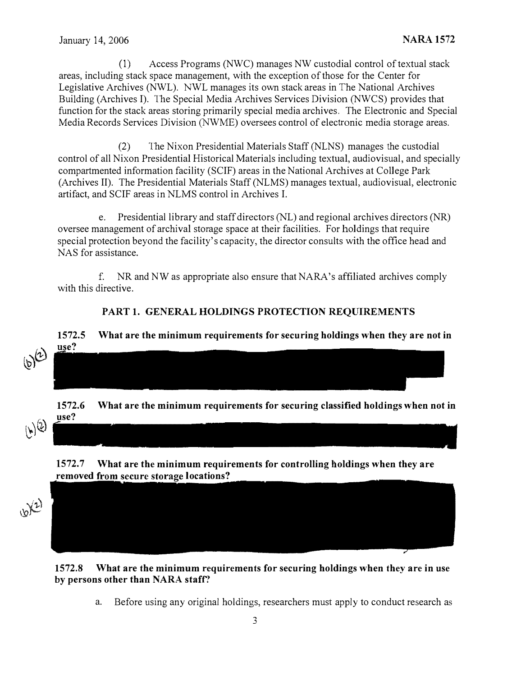(1) Access Programs (NWC) manages NW custodial control of textual stack areas, including stack space management, with the exception of those for the Center for Legislative Archives (NWL). NWL manages its own stack areas in The National Archives Building (Archives I). The Special Media Archives Services Division (NWCS) provides that function for the stack areas storing primarily special media archives. The Electronic and Special Media Records Services Division (NWME) oversees control of electronic media storage areas.

(2) The Nixon Presidential Materials Staff (NLNS) manages the custodial control of all Nixon Presidential Historical Materials including textual, audiovisual, and specially compartmented information facility (SCIF) areas in the National Archives at College Park (Archives II). The Presidential Materials Staff (NLMS) manages textual, audiovisual, electronic artifact, and SCIF areas in NLMS control in Archives I.

e. Presidential library and staff directors (NL) and regional archives directors (NR) oversee management of archival storage space at their facilities. For holdings that require special protection beyond the facility's capacity, the director consults with the office head and NAS for assistance.

f. NR and NW as appropriate also ensure that NARA's affiliated archives comply with this directive.

### PART 1. GENERAL HOLDINGS PROTECTION REQUIREMENTS

## 1572.5 What are the minimum requirements for securing holdings when they are not in use?  $(b)^{(2)}$

1572.6 What are the minimum requirements for securing classified holdings when not in use?



1572.7 What are the minimum requirements for controlling holdings when they are removed from secure storage locations?





a. Before using any original holdings, researchers must apply to conduct research as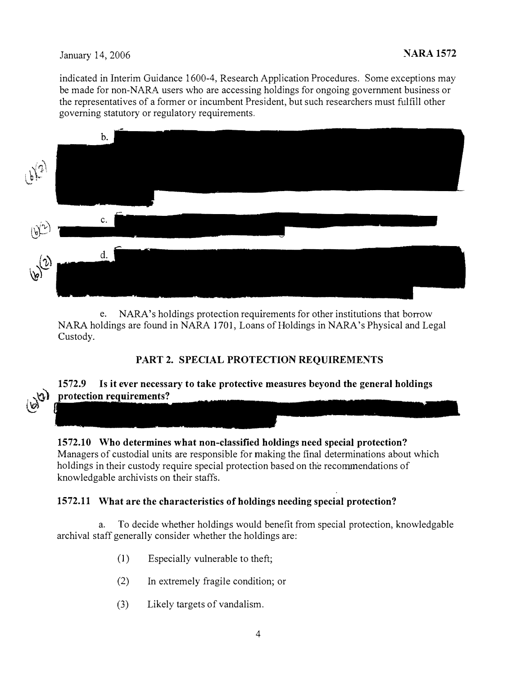### January 14, 2006 NARA 1572

 $\Omega$  $\vee$ 

indicated in Interim Guidance 1600-4, Research Application Procedures. Some exceptions may be made for non-NARA users who are accessing holdings for ongoing government business or the representatives of a former or incumbent President, but such researchers must fulfill other governing statutory or regulatory requirements.



e. NARA's holdings protection requirements for other institutions that borrow NARA holdings are found in NARA 1701, Loans of Holdings in NARA's Physical and Legal Custody.

### PART 2. SPECIAL PROTECTION REQUIREMENTS

### 1572.9 Is it ever necessary to take protective measures beyond the general holdings protection requirements?

1572.10 Who determines what non-classified holdings need special protection? Managers of custodial units are responsible for making the final determinations about which holdings in their custody require special protection based on the recommendations of knowledgable archivists on their staffs.

### 1572.11 What are the characteristics of holdings needing special protection?

a. To decide whether holdings would benefit from special protection, knowledgable archival staff generally consider whether the holdings are:

- (1) Especially vulnerable to theft;
- (2) In extremely fragile condition; or
- (3) Likely targets of vandalism.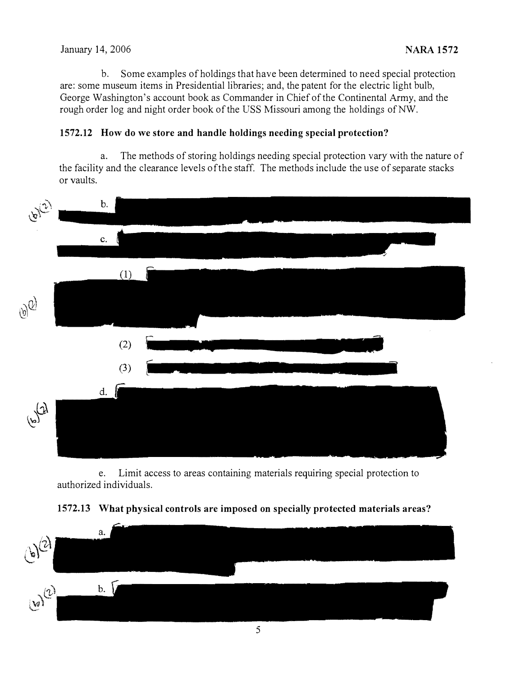### January 14, 2006 NARA 1572

b. Some examples of holdings that have been determined to need special protection are: some museum items in Presidential libraries; and, the patent for the electric light bulb, George Washington's account book as Commander in Chief of the Continental Army, and the rough order log and night order book of the USS Missouri among the holdings of NW.

### 1572.12 How do we store and handle holdings needing special protcction?

a. The methods of storing holdings needing special protection vary with the nature of the facility and the clearance levels of the staff. The methods include the use of separate stacks or vaults.



e. Limit access to areas containing materials requiring special protection to authorized individuals.

### 1572.13 What physical controls are imposed on specially protected materials areas?

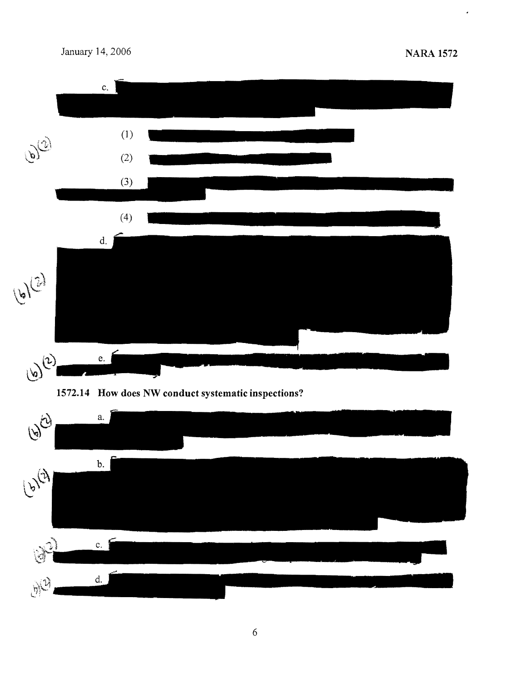$\hat{\boldsymbol{\cdot}$ 





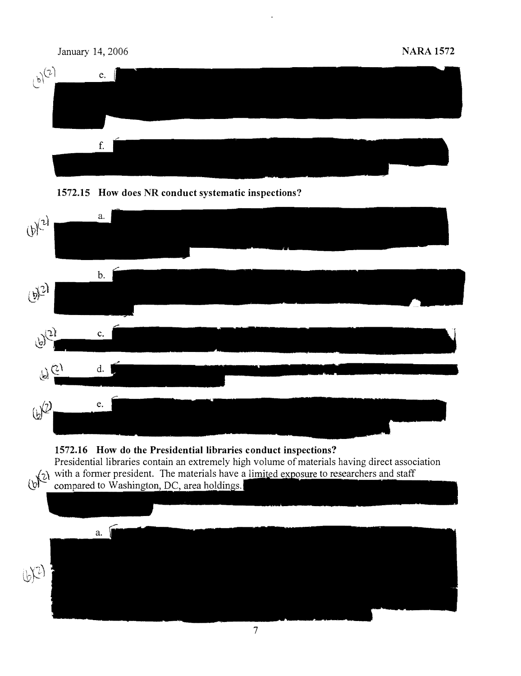





### 1572.16 How do the Presidential libraries conduct inspections?

Presidential libraries contain an extremely high volume of materials having direct association  $\chi_2$  with a former president. The materials have a limited exposure to researchers and staff  $(b)^-$  compared to Washi

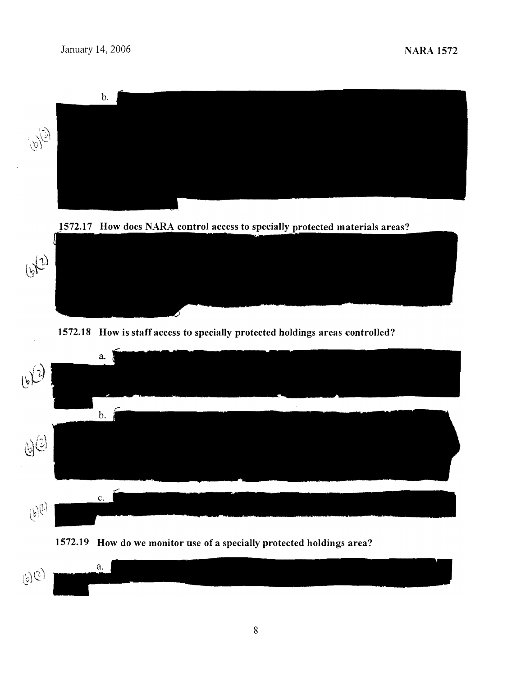

1572.17 How does NARA control access to specially protected materials areas?



1572.18 How is staff access to specially protected holdings areas controlled?





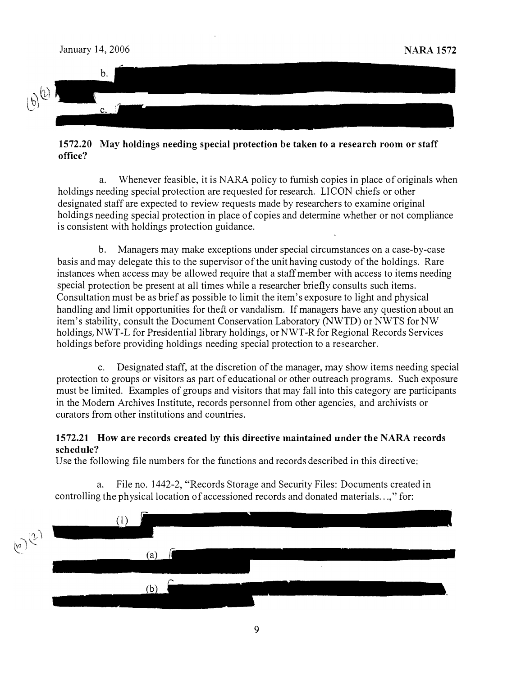

### 1572.20 May holdings needing special protection be taken to a research room or staff office?

a. Whenever feasible, it is NARA policy to furnish copies in place of originals when holdings needing special protection are requested for research. LICON chiefs or other designated staff are expected to review requests made by researchers to examine original holdings needing special protection in place of copies and determine whether or not compliance is consistent with holdings protection guidance.

b. Managers may make exceptions under special circumstances on a case-by-case basis and may delegate this to the supervisor of the unit having custody of the holdings. Rare instances when access may be allowed require that a staff member with access to items needing special protection be present at all times while a researcher briefly consults such items. Consultation must be as brief as possible to limit the item's exposure to light and physical handling and limit opportunities for theft or vandalism. If managers have any question about an item's stability, consult the Document Conservation Laboratory (NWTD) or NWTS for NW holdings, NWT-L for Presidential library holdings, or NWT-R for Regional Records Services holdings before providing holdings needing special protection to a researcher.

c. Designated staff, at the discretion of the manager, may show items needing special protection to groups or visitors as part of educational or other outreach programs. Such exposure must be limited. Examples of groups and visitors that may fall into this category are participants in the Modern Archives Institute, records personnel from other agencies, and archivists or curators from other institutions and countries.

### 1572.21 How are records created by this directive maintained under the NARA records schedule?

Use the following file numbers for the functions and records described in this directive:

File no. 1442-2, "Records Storage and Security Files: Documents created in controlling the physical location of accessioned records and donated materials...," for:

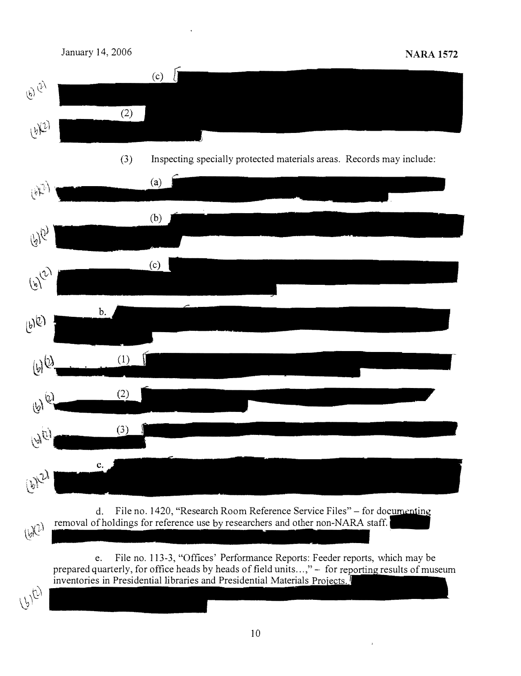



 $U^{(2)}$ 

d. File no. 1420, "Research Room Reference Service Files" – for documenting removal of holdings for reference use by researchers and other non-NARA staff. .

e. File no. 113-3, "Offices' Performance Reports: Feeder reports, which may be prepared quarterly, for office heads by heads of field units  $\ldots$ ," - for reporting results of museum inventories in Presidential libraries and Presidential Materials Projects.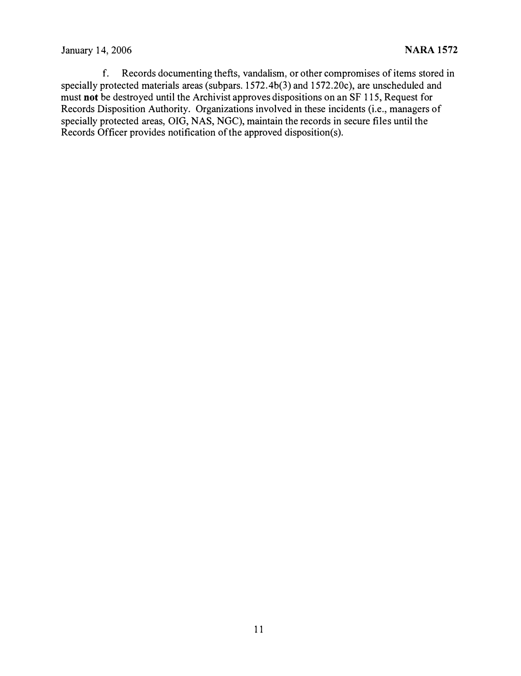### January 14, 2006 **NARA 1572**

f. Records documenting thefts, vandalism, or other compromises of items stored in specially protected materials areas (subpars. 1572.4b(3) and 1572.20c), are unscheduled and must not be destroyed until the Archivist approves dispositions on an SF 115, Request for Records Disposition Authority. Organizations involved in these incidents (i.e., managers of specially protected areas, OIG, NAS, NGC), maintain the records in secure files until the Records Officer provides notification of the approved disposition(s).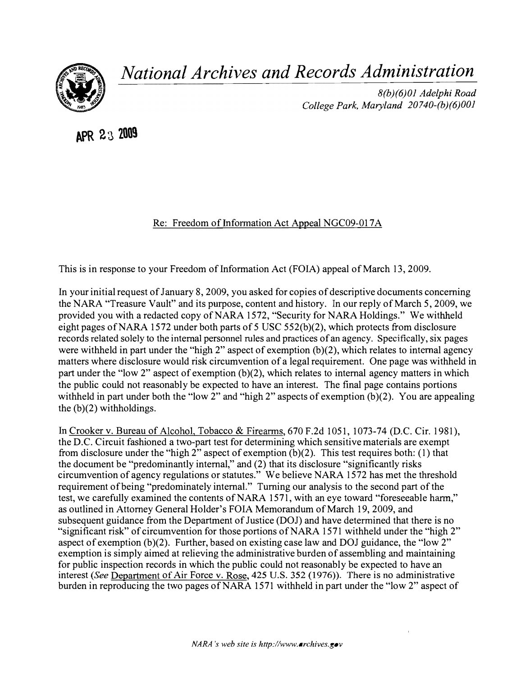

National Archives and Records Administration

8(b)(6)01 Adelphi Road College Park, Maryland 20740-(b)(6)001

APR 23 2009

Re: Freedom of Information Act Appeal NGC09-017A

This is in response to your Freedom of Information Act (FOIA) appeal of March 13, 2009.

In your initial request of January 8, 2009, you asked for copies of descriptive documents concerning the NARA "Treasure Vault" and its purpose, content and history. In our reply of March 5, 2009, we provided you with a redacted copy of NARA 1572, "Security for NARA Holdings." We withheld eight pages of NARA 1572 under both parts of 5 USC 552(b)(2), which protects from disclosure records related solely to the internal personnel rules and practices of an agency. Specifically, six pages were withheld in part under the "high 2" aspect of exemption  $(b)(2)$ , which relates to internal agency matters where disclosure would risk circumvention of a legal requirement. One page was withheld in part under the "low 2" aspect of exemption  $(b)(2)$ , which relates to internal agency matters in which the public could not reasonably be expected to have an interest. The final page contains portions withheld in part under both the "low 2" and "high 2" aspects of exemption  $(b)(2)$ . You are appealing the  $(b)(2)$  withholdings.

In Crooker v. Bureau of Alcohol, Tobacco & Firearms, 670 F.2d 1051, 1073-74 (D.C. Cir. 1981), the D.C. Circuit fashioned a two-part test for determining which sensitive materials are exempt from disclosure under the "high 2" aspect of exemption  $(b)(2)$ . This test requires both: (1) that the document be "predominantly internal," and (2) that its disclosure "significantly risks circumvention of agency regulations or statutes." We believe NARA 1572 has met the threshold requirement of being "predominately internaL" Turning our analysis to the second part of the test, we carefully examined the contents of NARA 1571, with an eye toward "foreseeable harm," as outlined in Attorney General Holder's FOIA Memorandum of March 19, 2009, and subsequent guidance from the Department of Justice (DOJ) and have determined that there is no "significant risk" of circumvention for those portions of NARA 1571 withheld under the "high 2" aspect of exemption  $(b)(2)$ . Further, based on existing case law and DOJ guidance, the "low 2" exemption is simply aimed at relieving the administrative burden of assembling and maintaining for public inspection records in which the public could not reasonably be expected to have an interest (See Department of Air Force v. Rose, 425 U.S. 352 (1976)). There is no administrative burden in reproducing the two pages of NARA 1571 withheld in part under the "low 2" aspect of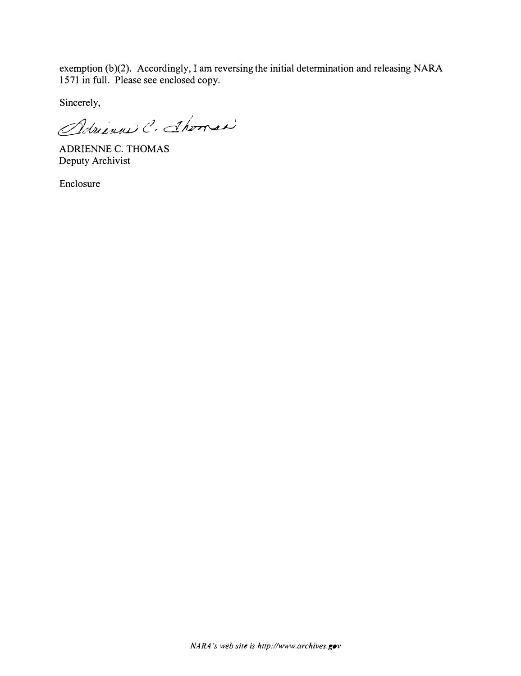exemption (b)(2). Accordingly, I am reversing the initial determination and releasing NARA 1571 in full. Please see enclosed copy.

Sincerely,

Adrienne C. Shower

ADRIENNE C. THOMAS Deputy Archivist

Enclosure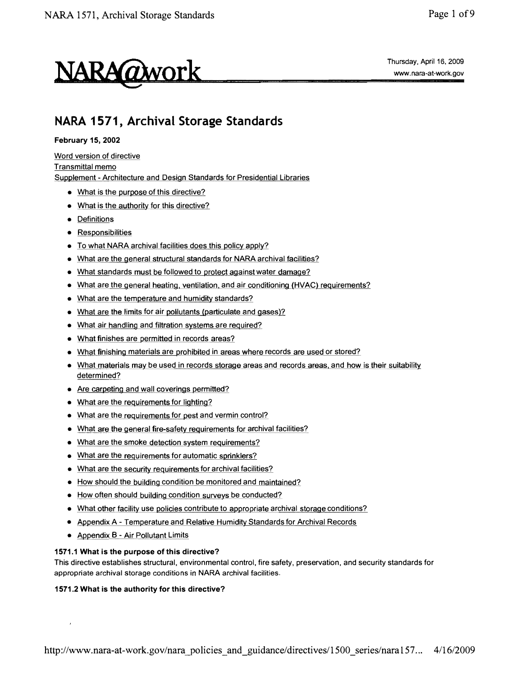

## NARA 1571, Archival Storage Standards

#### February 15, 2002

#### Word version of directive Transmittal memo

Supplement - Architecture and Design Standards for Presidential Libraries

- What is the purpose of this directive?
- What is the authority for this directive?
- Definitions
- Responsibilities
- To what NARA archival facilities does this policy apply?
- What are the general structural standards for NARA archival facilities?
- What standards must be followed to protect against water damage?
- What are the general heating, ventilation, and air conditioning (HVAC) requirements?
- What are the temperature and humidity standards?
- What are the limits for air pollutants (particulate and gases)?
- What air handling and filtration systems are required?
- What finishes are permitted in records areas?
- What finishing materials are prohibited in areas where records are used or stored?
- What materials may be used in records storage areas and records areas, and how is their suitability determined?
- Are carpeting and wall coverings permitted?
- What are the requirements for lighting?
- What are the requirements for pest and vermin control?
- What are the general fire-safety requirements for archival facilities?
- What are the smoke detection system requirements?
- What are the requirements for automatic sprinklers?
- What are the security requirements for archival facilities?
- $\bullet$  How should the building condition be monitored and maintained?
- How often should building condition surveys be conducted?
- What other facility use policies contribute to appropriate archival storage conditions?
- Appendix A Temperature and Relative Humidity Standards for Archival Records
- Appendix B Air Pollutant Limits

 $\overline{1}$ 

#### 1571.1 What is the purpose of this directive?

This directive establishes structural, environmental control, fire safety, preservation, and security standards for appropriate archival storage conditions in NARA archival facilities.

#### 1571.2 What is the authority for this directive?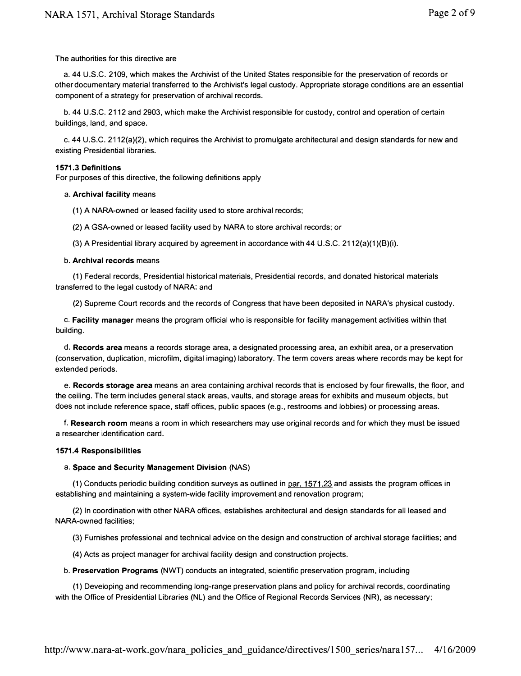#### The authorities for this directive are

a. 44 U.S.C. 2109, which makes the Archivist of the United States responsible for the preservation of records or other documentary material transferred to the Archivist's legal custody. Appropriate storage conditions are an essential component of a strategy for preservation of archival records.

b. 44 U.S.C. 2112 and 2903, which make the Archivist responsible for custody, control and operation of certain buildings, land, and space.

c.44 U.S.C. 2112(a)(2), which requires the Archivist to promulgate architectural and design standards for new and existing Presidential libraries.

#### 1571.3 Definitions

For purposes of this directive, the following definitions apply

#### a. Archival facility means

(1) A NARA-owned or leased facility used to store archival records;

(2) A GSA-owned or leased facility used by NARA to store archival records; or

(3) A Presidential library acquired by agreement in accordance with 44 U.S.C. 2112(a)(1)(B)(i).

#### b. Archival records means

(1) Federal records, Presidential historical materials, Presidential records, and donated historical materials transferred to the legal custody of NARA; and

(2) Supreme Court records and the records of Congress that have been deposited in NARA's physical custody.

c. Facility manager means the program official who is responsible for facility management activities within that building.

d. Records area means a records storage area, a designated processing area, an exhibit area, or a preservation (conservation, duplication, microfilm, digital imaging) laboratory. The term covers areas where records may be kept for extended periods.

e. Records storage area means an area containing archival records that is enclosed by four firewalls, the floor, and the ceiling. The term includes general stack areas, vaults, and storage areas for exhibits and museum objects, but does not include reference space, staff offices, public spaces (e.g., restrooms and lobbies) or processing areas.

f. Research room means a room in which researchers may use original records and for which they must be issued a researcher identification card.

#### 1571.4 Responsibilities

#### a. Space and Security Management Division (NAS)

(1) Conducts periodic building condition surveys as outlined in  $par. 1571.23$  and assists the program offices in establishing and maintaining a system-wide facility improvement and renovation program;

(2) In coordination with other NARA offices, establishes architectural and design standards for all leased and NARA-owned facilities;

(3) Furnishes professional and technical advice on the design and construction of archival storage facilities; and

(4) Acts as project manager for archival facility design and construction projects.

b. Preservation Programs (NWT) conducts an integrated, scientific preservation program, including

(1) Developing and recommending long-range preservation plans and policy for archival records, coordinating with the Office of Presidential Libraries (NL) and the Office of Regional Records Services (NR), as necessary;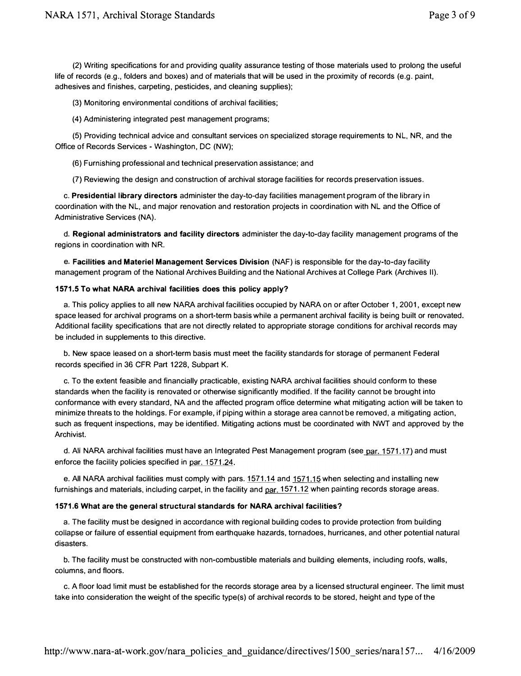(2) Writing specifications for and providing quality assurance testing of those materials used to prolong the useful life of records (e.g., folders and boxes) and of materials that will be used in the proximity of records (e.g. paint, adhesives and finishes, carpeting, pesticides, and cleaning supplies);

(3) Monitoring environmental conditions of archival facilities;

(4) Administering integrated pest management programs;

(5) Providing technical advice and consultant services on specialized storage requirements to NL, NR, and the Office of Records Services - Washington, DC (NW);

(6) Furnishing professional and technical preservation assistance; and

(7) Reviewing the design and construction of archival storage facilities for records preservation issues.

c. Presidential library directors administer the day-to-day facilities management program of the library in coordination with the NL, and major renovation and restoration projects in coordination with NL and the Office of Administrative Services (NA).

d. Regional administrators and facility directors administer the day-to-day facility management programs of the regions in coordination with NR.

e. Facilities and Materiel Management Services Division (NAF) is responsible for the day-to-day facility management program of the National Archives Building and the National Archives at College Park (Archives II).

#### 1571.5 To what NARA archival facilities does this policy apply?

a. This policy applies to all new NARA archival facilities occupied by NARA on or after October 1, 2001, except new space leased for archival programs on a short-term basis while a permanent archival facility is being built or renovated. Additional facility specifications that are not directly related to appropriate storage conditions for archival records may be included in supplements to this directive.

b. New space leased on a short-term basis must meet the facility standards for storage of permanent Federal records specified in 36 CFR Part 1228, Subpart K.

c. To the extent feasible and financially practicable, existing NARA archival facilities should conform to these standards when the facility is renovated or otherwise significantly modified. If the facility cannot be brought into conformance with every standard, NA and the affected program office determine what mitigating action will be taken to minimize threats to the holdings. For example, if piping within a storage area cannot be removed, a mitigating action, such as frequent inspections, may be identified. Mitigating actions must be coordinated with NWT and approved by the Archivist.

d. All NARA archival facilities must have an Integrated Pest Management program (see par. 1571.17) and must enforce the facility policies specified in par. 1571,24.

e. All NARA archival facilities must comply with pars. 1571.14 and 1571.15 when selecting and installing new furnishings and materials, including carpet, in the facility and par. 1571.12 when painting records storage areas.

#### 1571.6 What are the general structural standards for NARA archival facilities?

a. The facility must be designed in accordance with regional building codes to provide protection from building collapse or failure of essential equipment from earthquake hazards, tornadoes, hurricanes, and other potential natural disasters.

b. The facility must be constructed with non-combustible materials and building elements, including roofs, walls, columns, and floors.

c. A floor load limit must be established for the records storage area by a licensed structural engineer. The limit must take into consideration the weight of the specific type(s) of archival records to be stored, height and type of the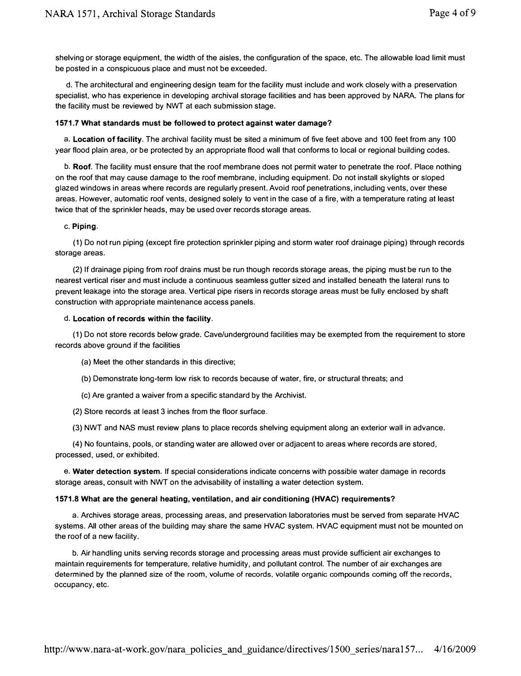shelving or storage equipment, the width of the aisles, the configuration of the space, etc. The allowable load limit must be posted in a conspicuous place and must not be exceeded.

d. The architectural and engineering design team for the facility must include and work closely with a preservation specialist, who has experience in developing archival storage facilities and has been approved by NARA. The plans for the facility must be reviewed by NWT at each submission stage.

#### 1571.7 What standards must be followed to protect against water damage?

a. Location of facility. The archival facility must be sited a minimum of five feet above and 100 feet from any 100 year flood plain area, or be protected by an appropriate flood wall that conforms to local or regional building codes.

b. Roof. The facility must ensure that the roof membrane does not permit water to penetrate the roof. Place nothing on the roof that may cause damage to the roof membrane, including equipment. Do not install skylights or sloped glazed windows in areas where records are regularly present. Avoid roof penetrations, including vents, over these areas. However, automatic roof vents, designed solely to vent in the case of a fire, with a temperature rating at least twice that of the sprinkler heads, may be used over records storage areas.

#### c. Piping.

(1) Do not run piping (except fire protection sprinkler piping and storm water roof drainage piping) through records storage areas.

(2) If drainage piping from roof drains must be run though records storage areas, the piping must be run to the nearest vertical riser and must include a continuous seamless gutter sized and installed beneath the lateral runs to prevent leakage into the storage area. Vertical pipe risers in records storage areas must be fully enclosed by shaft construction with appropriate maintenance access panels.

#### d. Location of records within the facility.

(1) Do not store records below grade. Cave/underground facilities may be exempted from the requirement to store records above ground if the facilities

(a) Meet the other standards in this directive;

- (b) Demonstrate long-term low risk to records because of water, fire, or structural threats; and
- (c) Are granted a waiver from a specific standard by the Archivist.
- (2) Store records at least 3 inches from the floor surface.

(3) NWT and NAS must review plans to place records shelving equipment along an exterior wall in advance.

(4) No fountains, pools, or standing water are allowed over or adjacent to areas where records are stored, processed, used, or exhibited.

e. Water detection system. If special considerations indicate concerns with possible water damage in records storage areas, consult with NWT on the advisability of installing a water detection system.

#### 1571.8 What are the general heating, ventilation, and air conditioning (HVAC) requirements?

a. Archives storage areas, processing areas, and preservation laboratories must be served from separate HVAC systems. All other areas of the building may share the same HVAC system. HVAC equipment must not be mounted on the roof of a new facility.

b. Air handling units serving records storage and processing areas must provide sufficient air exchanges to maintain requirements for temperature, relative humidity, and pollutant control. The number of air exchanges are determined by the planned size of the room, volume of records, volatile organic compounds coming off the records, occupancy, etc.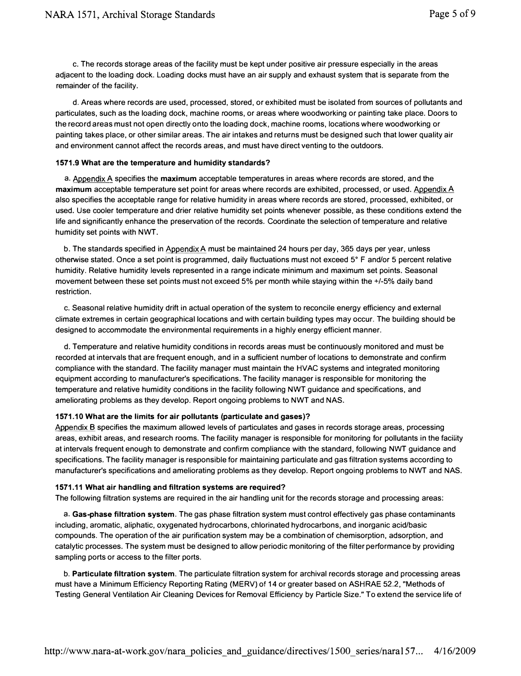c. The records storage areas of the facility must be kept under positive air pressure especially in the areas adjacent to the loading dock. Loading docks must have an air supply and exhaust system that is separate from the remainder of the facility.

d. Areas where records are used, processed, stored, or exhibited must be isolated from sources of pollutants and particulates, such as the loading dock, machine rooms, or areas where woodworking or painting take place. Doors to the record areas must not open directly onto the loading dock, machine rooms, locations where woodworking or painting takes place, or other similar areas. The air intakes and returns must be designed such that lower quality air and environment cannot affect the records areas, and must have direct venting to the outdoors.

#### 1571.9 What are the temperature and humidity standards?

a. Appendix A specifies the maximum acceptable temperatures in areas where records are stored, and the maximum acceptable temperature set point for areas where records are exhibited, processed, or used. Appendix A also specifies the acceptable range for relative humidity in areas where records are stored, processed, exhibited, or used. Use cooler temperature and drier relative humidity set points whenever possible, as these conditions extend the life and significantly enhance the preservation of the records. Coordinate the selection of temperature and relative humidity set points with NWT.

b. The standards specified in Appendix A must be maintained 24 hours per day, 365 days per year, unless otherwise stated. Once a set point is programmed, daily fluctuations must not exceed 5° F and/or 5 percent relative humidity. Relative humidity levels represented in a range indicate minimum and maximum set points. Seasonal movement between these set points must not exceed 5% per month while staying within the +/-5% daily band restriction.

c. Seasonal relative humidity drift in actual operation of the system to reconcile energy efficiency and external Climate extremes in certain geographical locations and with certain building types may occur. The building should be designed to accommodate the environmental requirements in a highly energy efficient manner.

d. Temperature and relative humidity conditions in records areas must be continuously monitored and must be recorded at intervals that are frequent enough, and in a sufficient number of locations to demonstrate and confirm compliance with the standard. The facility manager must maintain the HVAC systems and integrated monitoring equipment according to manufacturer's specifications. The facility manager is responsible for monitoring the temperature and relative humidity conditions in the facility following NWT guidance and specifications, and ameliorating problems as they develop. Report ongoing problems to NWT and NAS.

#### 1571.10 What are the limits for air pollutants (particulate and gases)?

Appendix B specifies the maximum allowed levels of particulates and gases in records storage areas, processing areas, exhibit areas, and research rooms. The facility manager is responsible for monitoring for pollutants in the facility at intervals frequent enough to demonstrate and confirm compliance with the standard, following NWT guidance and specifications. The facility manager is responsible for maintaining particulate and gas filtration systems according to manufacturer's specifications and ameliorating problems as they develop. Report ongoing problems to NWT and NAS.

#### 1571.11 What air handling and filtration systems are required?

The following filtration systems are required in the air handling unit for the records storage and processing areas:

a. Gas-phase filtration system. The gas phase filtration system must control effectively gas phase contaminants including, aromatic, aliphatic, oxygenated hydrocarbons, chlorinated hydrocarbons, and inorganic acid/basic compounds. The operation of the air purification system may be a combination of chemisorption, adsorption, and catalytic processes. The system must be designed to allow periodic monitoring of the filter performance by providing sampling ports or access to the filter ports.

b. Particulate filtration system. The particulate filtration system for archival records storage and processing areas must have a Minimum Efficiency Reporting Rating (MERV) of 14 or greater based on ASHRAE 52.2, "Methods of Testing General Ventilation Air Cleaning Devices for Removal Efficiency by Particle Size." To extend the service life of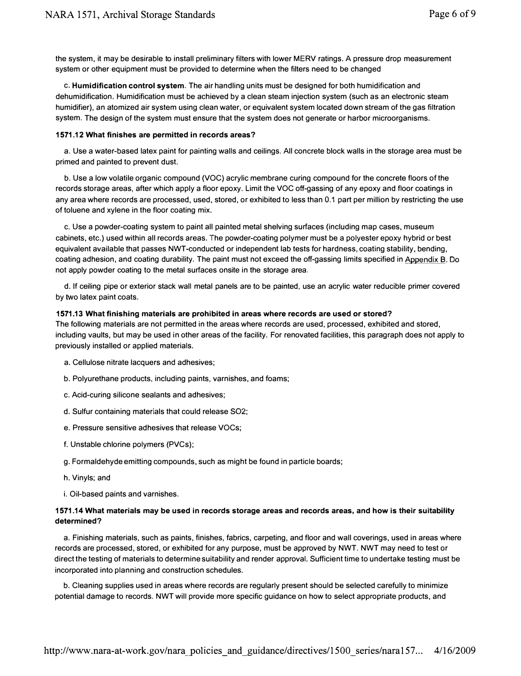the system, it may be desirable to install preliminary filters with lower MERV ratings. A pressure drop measurement system or other equipment must be provided to determine when the filters need to be changed

c. Humidification control system. The air handling units must be designed for both humidification and dehumidification. Humidification must be achieved by a clean steam injection system (such as an electronic steam humidifier), an atomized air system using clean water, or equivalent system located down stream of the gas filtration system. The design of the system must ensure that the system does not generate or harbor microorganisms.

#### 1571.12 What finishes are permitted in records areas?

a. Use a water-based latex paint for painting walls and ceilings. All concrete block walls in the storage area must be primed and painted to prevent dust.

b. Use a low volatile organic compound (VOC) acrylic membrane curing compound for the concrete floors of the records storage areas, after which apply a floor epoxy. Limit the VOC off-gassing of any epoxy and floor coatings in any area where records are processed, used, stored, or exhibited to less than 0.1 part per million by restricting the use of toluene and xylene in the floor coating mix.

c. Use a powder-coating system to paint all painted metal shelving surfaces (including map cases, museum cabinets, etc.) used within all records areas. The powder-coating polymer must be a polyester epoxy hybrid or best equivalent available that passes NWT-conducted or independent lab tests for hardness, coating stability, bending, coating adhesion, and coating durability. The paint must not exceed the off-gassing limits specified in Appendix B. Do not apply powder coating to the metal surfaces onsite in the storage area.

d. If ceiling pipe or exterior stack wall metal panels are to be painted. use an acrylic water reducible primer covered by two latex paint coats.

#### 1571.13 What finishing materials are prohibited in areas where records are used or stored?

The following materials are not permitted in the areas where records are used, processed, exhibited and stored, including vaults, but may be used in other areas of the facility. For renovated facilities, this paragraph does not apply to previously installed or applied materials.

- a. Cellulose nitrate lacquers and adhesives;
- b. Polyurethane products, including paints, varnishes, and foams;
- c. Acid-curing silicone sealants and adhesives;
- d. Sulfur containing materials that could release S02;
- e. Pressure sensitive adhesives that release VOCs;
- f. Unstable chlorine polymers (PVCs);
- g. Formaldehyde emitting compounds, such as might be found in particle boards;
- h. Vinyls; and
- i. Oil-based paints and varnishes.

#### 1571.14 What materials may be used in records storage areas and records areas, and how is their suitability determined?

a. Finishing materials, such as paints, finishes, fabrics, carpeting, and floor and wall coverings, used in areas where records are processed, stored, or exhibited for any purpose, must be approved by NWT. NWT may need to test or direct the testing of materials to determine suitability and render approval. Sufficient time to undertake testing must be incorporated into planning and construction schedules.

b. Cleaning supplies used in areas where records are regularly present should be selected carefully to minimize potential damage to records. NWT will provide more specific guidance on how to select appropriate products, and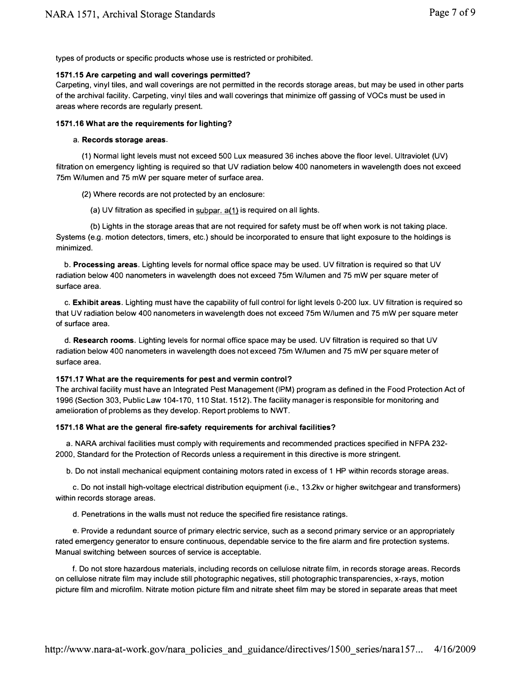types of products or specific products whose use is restricted or prohibited.

#### 1571.15 Are carpeting and wall coverings permitted?

Carpeting, vinyl tiles, and wall coverings are not permitted in the records storage areas, but may be used in other parts of the archival facility. Carpeting, vinyl tiles and wall coverings that minimize off gassing of VOCs must be used in areas where records are regularly present.

#### 1571.16 What are the requirements for lighting?

#### a. Records storage areas.

(1) Normal light levels must not exceed 500 Lux measured 36 inches above the floor level. Ultraviolet (UV) filtration on emergency lighting is required so that UV radiation below 400 nanometers in wavelength does not exceed 75m Wllumen and 75 mW per square meter of surface area.

(2) Where records are not protected by an enclosure:

(a) UV filtration as specified in  $\frac{\text{subpar. }a(1)}{\text{min.}}$  is required on all lights.

(b) Lights in the storage areas that are not required for safety must be off when work is not taking place. Systems (e.g. motion detectors, timers, etc.) should be incorporated to ensure that light exposure to the holdings is minimized.

b. Processing areas. Lighting levels for normal office space may be used. UV filtration is required so that UV radiation below 400 nanometers in wavelength does not exceed 75m Wllumen and 75 mW per square meter of surface area.

c. Exhibit areas. Lighting must have the capability of full control for light levels 0-200 lux. UV filtration is required so that UV radiation below 400 nanometers in wavelength does not exceed 75m Wllumen and 75 mW per square meter of surface area.

d. Research rooms. Lighting levels for normal office space may be used. UV filtration is required so that UV radiation below 400 nanometers in wavelength does not exceed 75m W/lumen and 75 mW per square meter of surface area.

#### 1571.17 What are the requirements for pest and vermin control?

The archival facility must have an Integrated Pest Management (IPM) program as defined in the Food Protection Act of 1996 (Section 303, Public Law 104-170, 110 Stat. 1512). The facility manager is responsible for monitoring and amelioration of problems as they develop. Report problems to NWT.

#### 1571.18 What are the general fire-safety requirements for archival facilities?

a. NARA archival facilities must comply with requirements and recommended practices specified in NFPA 232- 2000, Standard for the Protection of Records unless a requirement in this directive is more stringent.

b. Do not install mechanical equipment containing motors rated in excess of 1 HP within records storage areas.

c. Do not install high-voltage electrical distribution equipment (i.e., 13.2kv or higher switchgear and transformers) within records storage areas.

d. Penetrations in the walls must not reduce the specified fire resistance ratings.

e. Provide a redundant source of primary electric service, such as a second primary service or an appropriately rated emergency generator to ensure continuous, dependable service to the fire alarm and fire protection systems. Manual switching between sources of service is acceptable.

f. Do not store hazardous materials, including records on cellulose nitrate film, in records storage areas. Records on cellulose nitrate film may inClude still photographic negatives, still photographic transparencies, x-rays, motion picture film and microfilm. Nitrate motion picture film and nitrate sheet film may be stored in separate areas that meet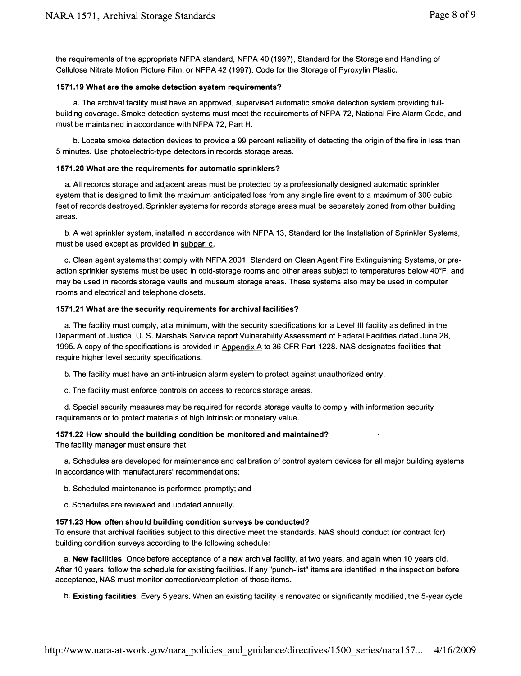the requirements of the appropriate NFPA standard, NFPA 40 (1997), Standard for the Storage and Handling of Cellulose Nitrate Motion Picture Film, or NFPA 42 (1997), Code for the Storage of Pyroxylin Plastic.

#### 1571.19 What are the smoke detection system requirements?

a. The archival facility must have an approved, supervised automatic smoke detection system providing fullbuilding coverage. Smoke detection systems must meet the requirements of NFPA 72, National Fire Alarm Code, and must be maintained in accordance with NFPA 72, Part H.

b. Locate smoke detection devices to provide a 99 percent reliability of detecting the origin of the fire in less than 5 minutes. Use photoelectric-type detectors in records storage areas.

#### 1571.20 What are the requirements for automatic sprinklers?

a. All records storage and adjacent areas must be protected by a professionally designed automatic sprinkler system that is designed to limit the maximum anticipated loss from any single fire event to a maximum of 300 cubic feet of records destroyed. Sprinkler systems for records storage areas must be separately zoned from other building areas.

b. A wet sprinkler system, installed in accordance with NFPA 13, Standard for the Installation of Sprinkler Systems, must be used except as provided in subpar. c.

c. Clean agent systems that comply with NFPA 2001, Standard on Clean Agent Fire Extinguishing Systems, or preaction sprinkler systems must be used in COld-storage rooms and other areas subject to temperatures below 40°F, and may be used in records storage vaults and museum storage areas. These systems also may be used in computer rooms and electrical and telephone closets.

#### 1571.21 What are the security requirements for archival facilities?

a. The facility must comply, at a minimum, with the security specifications for a Level III facility as defined in the Department of Justice, U. S. Marshals Service report Vulnerability Assessment of Federal Facilities dated June 28, 1995. A copy of the specifications is provided in Appendix A to 36 CFR Part 1228. NAS designates facilities that require higher level security specifications.

b. The facility must have an anti-intrusion alarm system to protect against unauthorized entry.

c. The facility must enforce controls on access to records storage areas.

d. Special security measures may be required for records storage vaults to comply with information security requirements or to protect materials of high intrinsic or monetary value.

#### 1571.22 How should the building condition be monitored and maintained?

The facility manager must ensure that

a. Schedules are developed for maintenance and calibration of control system devices for all major building systems in accordance with manufacturers' recommendations;

b. Scheduled maintenance is performed promptly; and

c. Schedules are reviewed and updated annually.

#### 1571.23 How often should building condition surveys be conducted?

To ensure that archival facilities subject to this directive meet the standards, NAS should conduct (or contract for) building condition surveys according to the following schedule:

a. New facilities. Once before acceptance of a new archival facility, at two years, and again when 10 years old. After 10 years, follow the schedule for existing facilities. If any "punch-list" items are identified in the inspection before acceptance, NAS must monitor correction/completion of those items.

b. Existing facilities. Every 5 years. When an existing facility is renovated or significantly modified, the 5-year cycle